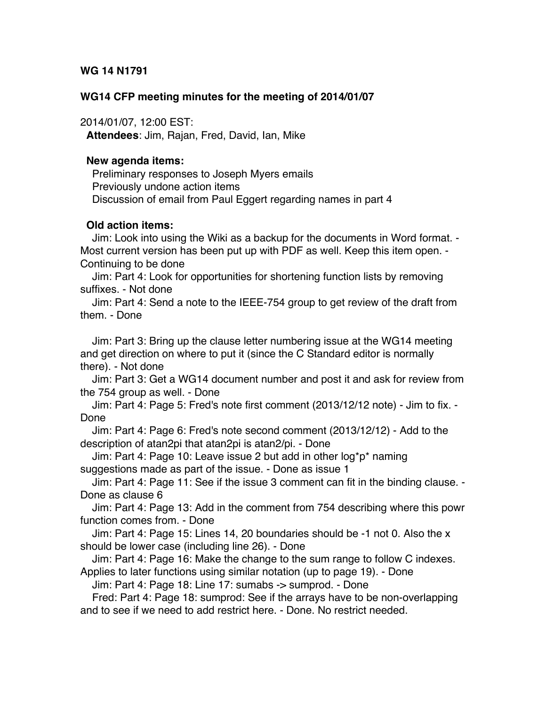### **WG 14 N1791**

#### **WG14 CFP meeting minutes for the meeting of 2014/01/07**

2014/01/07, 12:00 EST:

**Attendees**: Jim, Rajan, Fred, David, Ian, Mike

#### **New agenda items:**

 Preliminary responses to Joseph Myers emails Previously undone action items Discussion of email from Paul Eggert regarding names in part 4

### **Old action items:**

 Jim: Look into using the Wiki as a backup for the documents in Word format. - Most current version has been put up with PDF as well. Keep this item open. - Continuing to be done

 Jim: Part 4: Look for opportunities for shortening function lists by removing suffixes. - Not done

 Jim: Part 4: Send a note to the IEEE-754 group to get review of the draft from them. - Done

 Jim: Part 3: Bring up the clause letter numbering issue at the WG14 meeting and get direction on where to put it (since the C Standard editor is normally there). - Not done

 Jim: Part 3: Get a WG14 document number and post it and ask for review from the 754 group as well. - Done

 Jim: Part 4: Page 5: Fred's note first comment (2013/12/12 note) - Jim to fix. - Done

 Jim: Part 4: Page 6: Fred's note second comment (2013/12/12) - Add to the description of atan2pi that atan2pi is atan2/pi. - Done

 Jim: Part 4: Page 10: Leave issue 2 but add in other log\*p\* naming suggestions made as part of the issue. - Done as issue 1

 Jim: Part 4: Page 11: See if the issue 3 comment can fit in the binding clause. - Done as clause 6

 Jim: Part 4: Page 13: Add in the comment from 754 describing where this powr function comes from. - Done

 Jim: Part 4: Page 15: Lines 14, 20 boundaries should be -1 not 0. Also the x should be lower case (including line 26). - Done

 Jim: Part 4: Page 16: Make the change to the sum range to follow C indexes. Applies to later functions using similar notation (up to page 19). - Done

Jim: Part 4: Page 18: Line 17: sumabs -> sumprod. - Done

 Fred: Part 4: Page 18: sumprod: See if the arrays have to be non-overlapping and to see if we need to add restrict here. - Done. No restrict needed.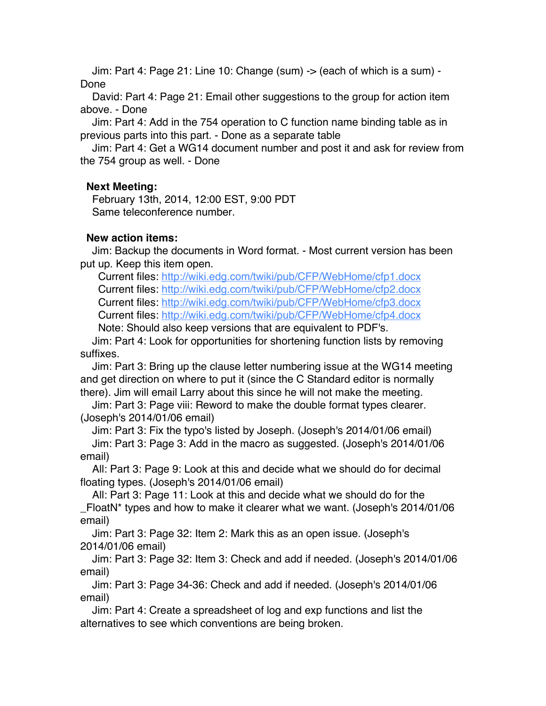Jim: Part 4: Page 21: Line 10: Change (sum) -> (each of which is a sum) - Done

 David: Part 4: Page 21: Email other suggestions to the group for action item above. - Done

 Jim: Part 4: Add in the 754 operation to C function name binding table as in previous parts into this part. - Done as a separate table

 Jim: Part 4: Get a WG14 document number and post it and ask for review from the 754 group as well. - Done

# **Next Meeting:**

 February 13th, 2014, 12:00 EST, 9:00 PDT Same teleconference number.

# **New action items:**

 Jim: Backup the documents in Word format. - Most current version has been put up. Keep this item open.

 Current files: http://wiki.edg.com/twiki/pub/CFP/WebHome/cfp1.docx Current files: http://wiki.edg.com/twiki/pub/CFP/WebHome/cfp2.docx Current files: http://wiki.edg.com/twiki/pub/CFP/WebHome/cfp3.docx Current files: http://wiki.edg.com/twiki/pub/CFP/WebHome/cfp4.docx

Note: Should also keep versions that are equivalent to PDF's.

 Jim: Part 4: Look for opportunities for shortening function lists by removing suffixes.

 Jim: Part 3: Bring up the clause letter numbering issue at the WG14 meeting and get direction on where to put it (since the C Standard editor is normally there). Jim will email Larry about this since he will not make the meeting.

 Jim: Part 3: Page viii: Reword to make the double format types clearer. (Joseph's 2014/01/06 email)

Jim: Part 3: Fix the typo's listed by Joseph. (Joseph's 2014/01/06 email)

 Jim: Part 3: Page 3: Add in the macro as suggested. (Joseph's 2014/01/06 email)

 All: Part 3: Page 9: Look at this and decide what we should do for decimal floating types. (Joseph's 2014/01/06 email)

 All: Part 3: Page 11: Look at this and decide what we should do for the \_FloatN\* types and how to make it clearer what we want. (Joseph's 2014/01/06 email)

 Jim: Part 3: Page 32: Item 2: Mark this as an open issue. (Joseph's 2014/01/06 email)

 Jim: Part 3: Page 32: Item 3: Check and add if needed. (Joseph's 2014/01/06 email)

 Jim: Part 3: Page 34-36: Check and add if needed. (Joseph's 2014/01/06 email)

 Jim: Part 4: Create a spreadsheet of log and exp functions and list the alternatives to see which conventions are being broken.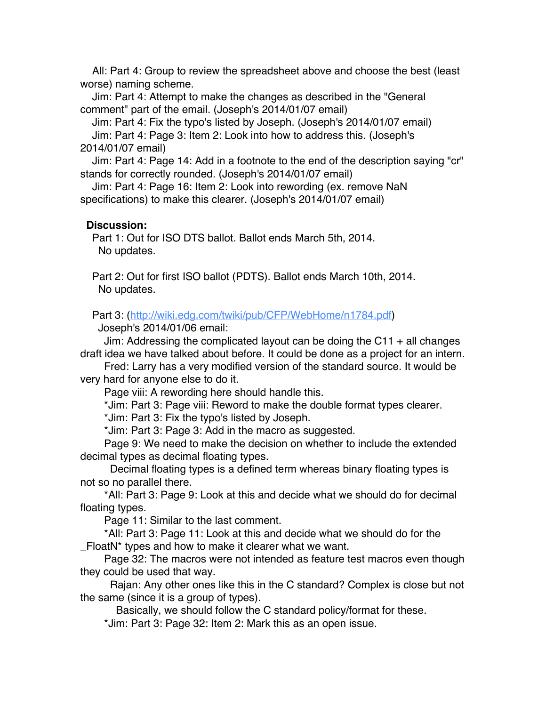All: Part 4: Group to review the spreadsheet above and choose the best (least worse) naming scheme.

 Jim: Part 4: Attempt to make the changes as described in the "General comment" part of the email. (Joseph's 2014/01/07 email)

Jim: Part 4: Fix the typo's listed by Joseph. (Joseph's 2014/01/07 email)

 Jim: Part 4: Page 3: Item 2: Look into how to address this. (Joseph's 2014/01/07 email)

 Jim: Part 4: Page 14: Add in a footnote to the end of the description saying "cr" stands for correctly rounded. (Joseph's 2014/01/07 email)

 Jim: Part 4: Page 16: Item 2: Look into rewording (ex. remove NaN specifications) to make this clearer. (Joseph's 2014/01/07 email)

## **Discussion:**

 Part 1: Out for ISO DTS ballot. Ballot ends March 5th, 2014. No updates.

 Part 2: Out for first ISO ballot (PDTS). Ballot ends March 10th, 2014. No updates.

Part 3: (http://wiki.edg.com/twiki/pub/CFP/WebHome/n1784.pdf)

Joseph's 2014/01/06 email:

Jim: Addressing the complicated layout can be doing the C11  $+$  all changes draft idea we have talked about before. It could be done as a project for an intern.

 Fred: Larry has a very modified version of the standard source. It would be very hard for anyone else to do it.

Page viii: A rewording here should handle this.

\*Jim: Part 3: Page viii: Reword to make the double format types clearer.

\*Jim: Part 3: Fix the typo's listed by Joseph.

\*Jim: Part 3: Page 3: Add in the macro as suggested.

 Page 9: We need to make the decision on whether to include the extended decimal types as decimal floating types.

 Decimal floating types is a defined term whereas binary floating types is not so no parallel there.

 \*All: Part 3: Page 9: Look at this and decide what we should do for decimal floating types.

Page 11: Similar to the last comment.

 \*All: Part 3: Page 11: Look at this and decide what we should do for the \_FloatN\* types and how to make it clearer what we want.

 Page 32: The macros were not intended as feature test macros even though they could be used that way.

 Rajan: Any other ones like this in the C standard? Complex is close but not the same (since it is a group of types).

Basically, we should follow the C standard policy/format for these.

\*Jim: Part 3: Page 32: Item 2: Mark this as an open issue.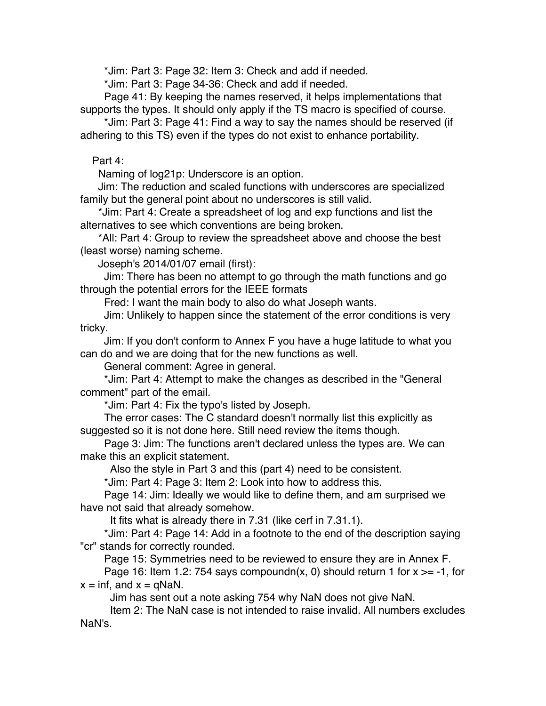\*Jim: Part 3: Page 32: Item 3: Check and add if needed.

\*Jim: Part 3: Page 34-36: Check and add if needed.

 Page 41: By keeping the names reserved, it helps implementations that supports the types. It should only apply if the TS macro is specified of course.

 \*Jim: Part 3: Page 41: Find a way to say the names should be reserved (if adhering to this TS) even if the types do not exist to enhance portability.

## Part 4:

Naming of log21p: Underscore is an option.

 Jim: The reduction and scaled functions with underscores are specialized family but the general point about no underscores is still valid.

 \*Jim: Part 4: Create a spreadsheet of log and exp functions and list the alternatives to see which conventions are being broken.

 \*All: Part 4: Group to review the spreadsheet above and choose the best (least worse) naming scheme.

Joseph's 2014/01/07 email (first):

 Jim: There has been no attempt to go through the math functions and go through the potential errors for the IEEE formats

Fred: I want the main body to also do what Joseph wants.

 Jim: Unlikely to happen since the statement of the error conditions is very tricky.

 Jim: If you don't conform to Annex F you have a huge latitude to what you can do and we are doing that for the new functions as well.

General comment: Agree in general.

 \*Jim: Part 4: Attempt to make the changes as described in the "General comment" part of the email.

\*Jim: Part 4: Fix the typo's listed by Joseph.

 The error cases: The C standard doesn't normally list this explicitly as suggested so it is not done here. Still need review the items though.

 Page 3: Jim: The functions aren't declared unless the types are. We can make this an explicit statement.

Also the style in Part 3 and this (part 4) need to be consistent.

\*Jim: Part 4: Page 3: Item 2: Look into how to address this.

 Page 14: Jim: Ideally we would like to define them, and am surprised we have not said that already somehow.

It fits what is already there in 7.31 (like cerf in 7.31.1).

 \*Jim: Part 4: Page 14: Add in a footnote to the end of the description saying "cr" stands for correctly rounded.

Page 15: Symmetries need to be reviewed to ensure they are in Annex F.

Page 16: Item 1.2: 754 says compoundn(x, 0) should return 1 for  $x \ge -1$ , for  $x = \text{inf, and } x = \text{q}$ NaN.

Jim has sent out a note asking 754 why NaN does not give NaN.

 Item 2: The NaN case is not intended to raise invalid. All numbers excludes NaN's.